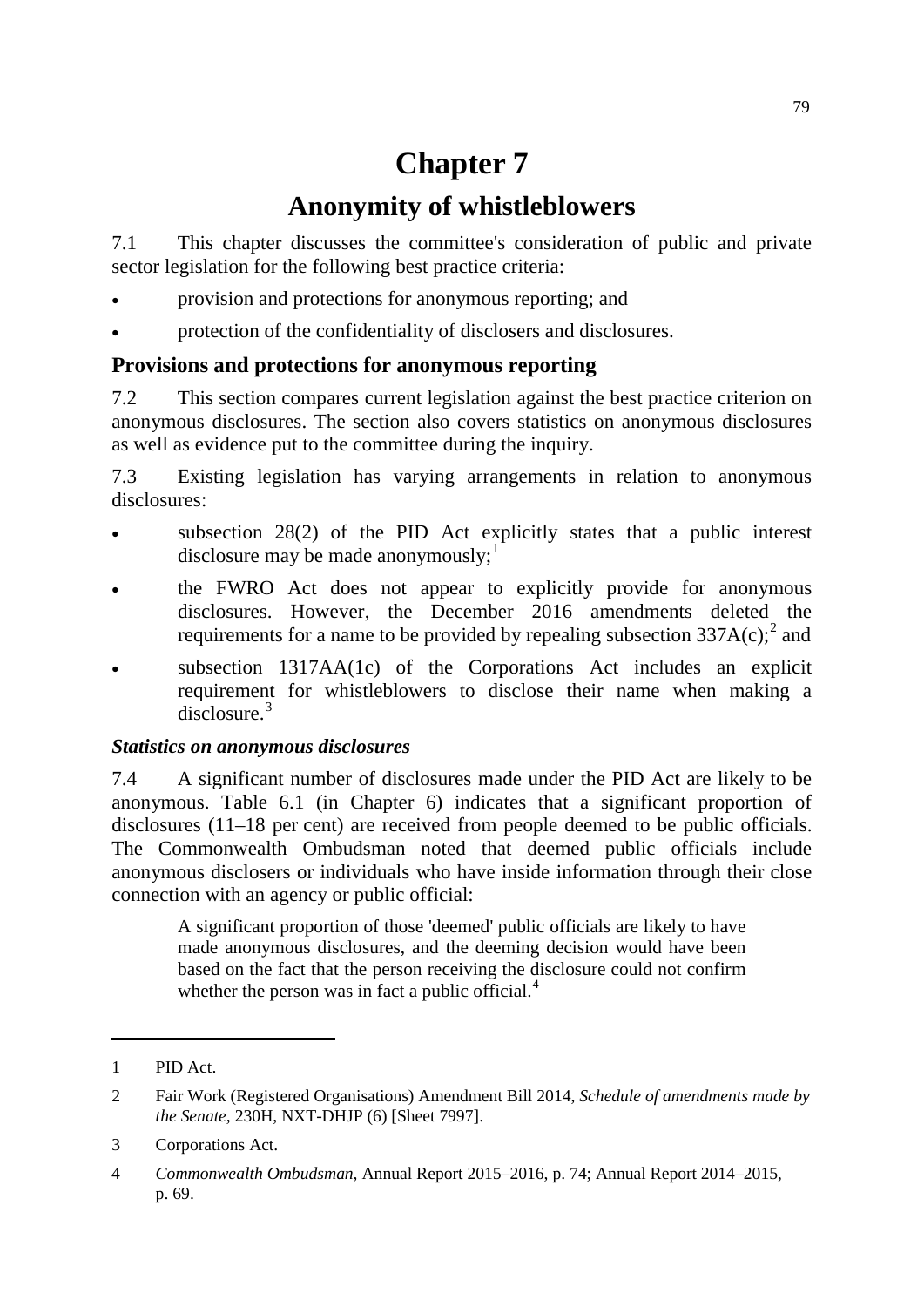# **Chapter 7**

## **Anonymity of whistleblowers**

7.1 This chapter discusses the committee's consideration of public and private sector legislation for the following best practice criteria:

- provision and protections for anonymous reporting; and
- protection of the confidentiality of disclosers and disclosures.

## **Provisions and protections for anonymous reporting**

7.2 This section compares current legislation against the best practice criterion on anonymous disclosures. The section also covers statistics on anonymous disclosures as well as evidence put to the committee during the inquiry.

7.3 Existing legislation has varying arrangements in relation to anonymous disclosures:

- subsection  $28(2)$  of the PID Act explicitly states that a public interest disclosure may be made anonymously;<sup>[1](#page-0-0)</sup>
- the FWRO Act does not appear to explicitly provide for anonymous disclosures. However, the December 2016 amendments deleted the requirements for a name to be provided by repealing subsection  $337A(c)$ ; and
- subsection 1317AA(1c) of the Corporations Act includes an explicit requirement for whistleblowers to disclose their name when making a disclosure.<sup>[3](#page-0-2)</sup>

## *Statistics on anonymous disclosures*

7.4 A significant number of disclosures made under the PID Act are likely to be anonymous. Table 6.1 (in Chapter 6) indicates that a significant proportion of disclosures (11–18 per cent) are received from people deemed to be public officials. The Commonwealth Ombudsman noted that deemed public officials include anonymous disclosers or individuals who have inside information through their close connection with an agency or public official:

A significant proportion of those 'deemed' public officials are likely to have made anonymous disclosures, and the deeming decision would have been based on the fact that the person receiving the disclosure could not confirm whether the person was in fact a public official. $<sup>4</sup>$  $<sup>4</sup>$  $<sup>4</sup>$ </sup>

<span id="page-0-0"></span><sup>1</sup> PID Act.

<span id="page-0-1"></span><sup>2</sup> Fair Work (Registered Organisations) Amendment Bill 2014, *Schedule of amendments made by the Senate,* 230H, NXT-DHJP (6) [Sheet 7997].

<span id="page-0-2"></span><sup>3</sup> Corporations Act.

<span id="page-0-3"></span><sup>4</sup> *Commonwealth Ombudsman,* Annual Report 2015–2016, p. 74; Annual Report 2014–2015, p. 69.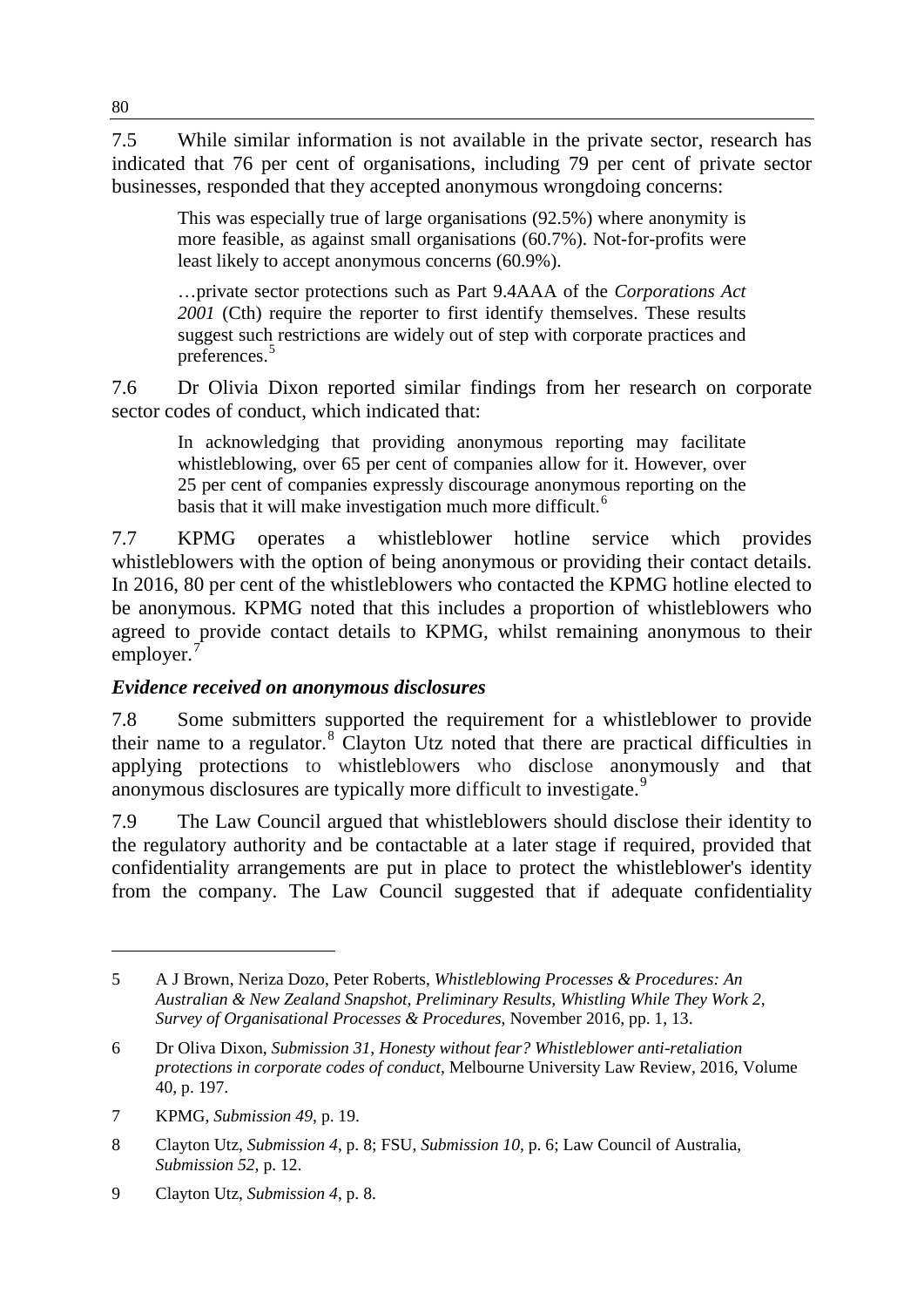7.5 While similar information is not available in the private sector, research has indicated that 76 per cent of organisations, including 79 per cent of private sector businesses, responded that they accepted anonymous wrongdoing concerns:

This was especially true of large organisations (92.5%) where anonymity is more feasible, as against small organisations (60.7%). Not-for-profits were least likely to accept anonymous concerns (60.9%).

…private sector protections such as Part 9.4AAA of the *Corporations Act*  2001 (Cth) require the reporter to first identify themselves. These results suggest such restrictions are widely out of step with corporate practices and preferences.<sup>[5](#page-1-0)</sup>

7.6 Dr Olivia Dixon reported similar findings from her research on corporate sector codes of conduct, which indicated that:

In acknowledging that providing anonymous reporting may facilitate whistleblowing, over 65 per cent of companies allow for it. However, over 25 per cent of companies expressly discourage anonymous reporting on the basis that it will make investigation much more difficult.<sup>[6](#page-1-1)</sup>

7.7 KPMG operates a whistleblower hotline service which provides whistleblowers with the option of being anonymous or providing their contact details. In 2016, 80 per cent of the whistleblowers who contacted the KPMG hotline elected to be anonymous. KPMG noted that this includes a proportion of whistleblowers who agreed to provide contact details to KPMG, whilst remaining anonymous to their employer.<sup>[7](#page-1-2)</sup>

## *Evidence received on anonymous disclosures*

7.8 Some submitters supported the requirement for a whistleblower to provide their name to a regulator.[8](#page-1-3) Clayton Utz noted that there are practical difficulties in applying protections to whistleblowers who disclose anonymously and that anonymous disclosures are typically more difficult to investigate.<sup>[9](#page-1-4)</sup>

7.9 The Law Council argued that whistleblowers should disclose their identity to the regulatory authority and be contactable at a later stage if required, provided that confidentiality arrangements are put in place to protect the whistleblower's identity from the company. The Law Council suggested that if adequate confidentiality

<span id="page-1-0"></span><sup>5</sup> A J Brown, Neriza Dozo, Peter Roberts, *Whistleblowing Processes & Procedures: An Australian & New Zealand Snapshot, Preliminary Results, Whistling While They Work 2, Survey of Organisational Processes & Procedures*, November 2016, pp. 1, 13.

<span id="page-1-1"></span><sup>6</sup> Dr Oliva Dixon, *Submission 31, Honesty without fear? Whistleblower anti-retaliation protections in corporate codes of conduct*, Melbourne University Law Review, 2016, Volume 40, p. 197.

<span id="page-1-2"></span><sup>7</sup> KPMG, *Submission 49*, p. 19.

<span id="page-1-3"></span><sup>8</sup> Clayton Utz, *Submission 4*, p. 8; FSU, *Submission 10*, p. 6; Law Council of Australia, *Submission 52*, p. 12.

<span id="page-1-4"></span><sup>9</sup> Clayton Utz, *Submission 4*, p. 8.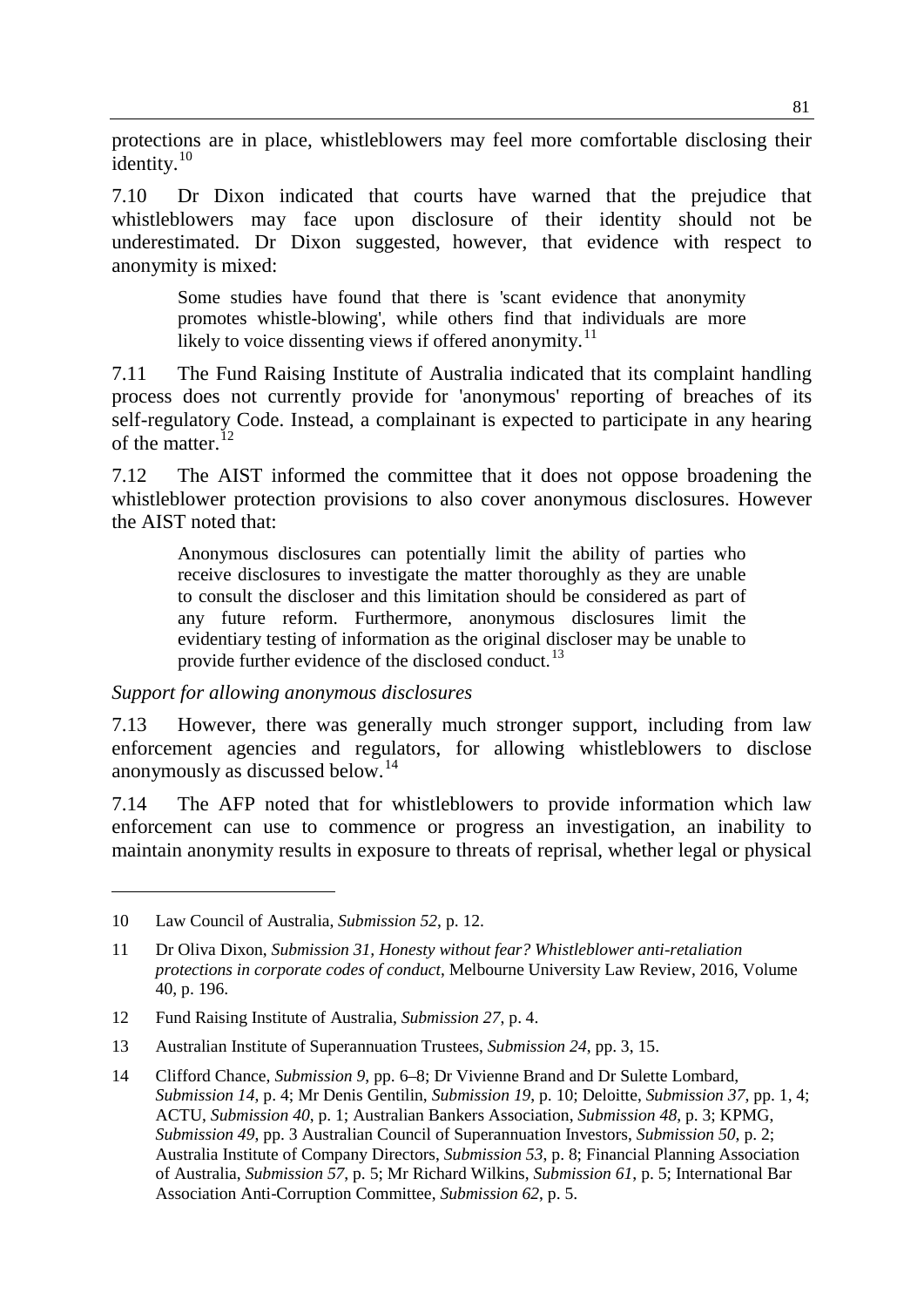protections are in place, whistleblowers may feel more comfortable disclosing their identity. $10$ 

7.10 Dr Dixon indicated that courts have warned that the prejudice that whistleblowers may face upon disclosure of their identity should not be underestimated. Dr Dixon suggested, however, that evidence with respect to anonymity is mixed:

Some studies have found that there is 'scant evidence that anonymity promotes whistle-blowing', while others find that individuals are more likely to voice dissenting views if offered anonymity.<sup>[11](#page-2-1)</sup>

7.11 The Fund Raising Institute of Australia indicated that its complaint handling process does not currently provide for 'anonymous' reporting of breaches of its self-regulatory Code. Instead, a complainant is expected to participate in any hearing of the matter.<sup>[12](#page-2-2)</sup>

7.12 The AIST informed the committee that it does not oppose broadening the whistleblower protection provisions to also cover anonymous disclosures. However the AIST noted that:

Anonymous disclosures can potentially limit the ability of parties who receive disclosures to investigate the matter thoroughly as they are unable to consult the discloser and this limitation should be considered as part of any future reform. Furthermore, anonymous disclosures limit the evidentiary testing of information as the original discloser may be unable to provide further evidence of the disclosed conduct.<sup>[13](#page-2-3)</sup>

*Support for allowing anonymous disclosures*

7.13 However, there was generally much stronger support, including from law enforcement agencies and regulators, for allowing whistleblowers to disclose anonymously as discussed below. [14](#page-2-4)

7.14 The AFP noted that for whistleblowers to provide information which law enforcement can use to commence or progress an investigation, an inability to maintain anonymity results in exposure to threats of reprisal, whether legal or physical

<span id="page-2-0"></span><sup>10</sup> Law Council of Australia, *Submission 52*, p. 12.

<span id="page-2-1"></span><sup>11</sup> Dr Oliva Dixon, *Submission 31, Honesty without fear? Whistleblower anti-retaliation protections in corporate codes of conduct*, Melbourne University Law Review, 2016, Volume 40, p. 196.

<span id="page-2-2"></span><sup>12</sup> Fund Raising Institute of Australia, *Submission 27*, p. 4.

<span id="page-2-3"></span><sup>13</sup> Australian Institute of Superannuation Trustees, *Submission 24*, pp. 3, 15.

<span id="page-2-4"></span><sup>14</sup> Clifford Chance, *Submission 9*, pp. 6–8; Dr Vivienne Brand and Dr Sulette Lombard, *Submission 14*, p. 4; Mr Denis Gentilin, *Submission 19*, p. 10; Deloitte, *Submission 37*, pp. 1, 4; ACTU, *Submission 40*, p. 1; Australian Bankers Association, *Submission 48*, p. 3; KPMG, *Submission 49*, pp. 3 Australian Council of Superannuation Investors, *Submission 50*, p. 2; Australia Institute of Company Directors, *Submission 53*, p. 8; Financial Planning Association of Australia, *Submission 57*, p. 5; Mr Richard Wilkins, *Submission 61*, p. 5; International Bar Association Anti-Corruption Committee, *Submission 62*, p. 5.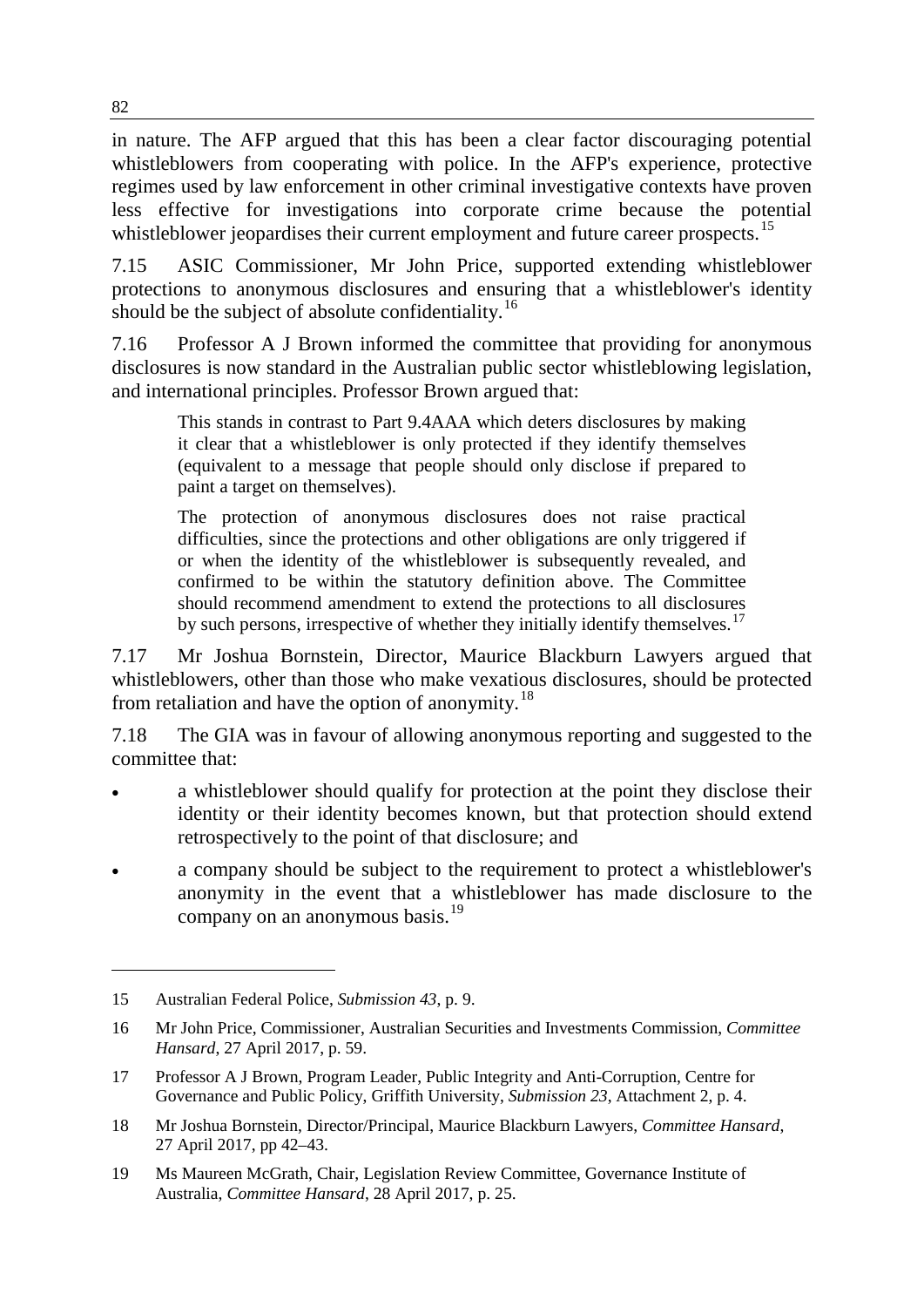in nature. The AFP argued that this has been a clear factor discouraging potential whistleblowers from cooperating with police. In the AFP's experience, protective regimes used by law enforcement in other criminal investigative contexts have proven less effective for investigations into corporate crime because the potential whistleblower jeopardises their current employment and future career prospects.<sup>[15](#page-3-0)</sup>

7.15 ASIC Commissioner, Mr John Price, supported extending whistleblower protections to anonymous disclosures and ensuring that a whistleblower's identity should be the subject of absolute confidentiality.<sup>[16](#page-3-1)</sup>

7.16 Professor A J Brown informed the committee that providing for anonymous disclosures is now standard in the Australian public sector whistleblowing legislation, and international principles. Professor Brown argued that:

This stands in contrast to Part 9.4AAA which deters disclosures by making it clear that a whistleblower is only protected if they identify themselves (equivalent to a message that people should only disclose if prepared to paint a target on themselves).

The protection of anonymous disclosures does not raise practical difficulties, since the protections and other obligations are only triggered if or when the identity of the whistleblower is subsequently revealed, and confirmed to be within the statutory definition above. The Committee should recommend amendment to extend the protections to all disclosures by such persons, irrespective of whether they initially identify themselves.<sup>[17](#page-3-2)</sup>

7.17 Mr Joshua Bornstein, Director, Maurice Blackburn Lawyers argued that whistleblowers, other than those who make vexatious disclosures, should be protected from retaliation and have the option of anonymity.<sup>[18](#page-3-3)</sup>

7.18 The GIA was in favour of allowing anonymous reporting and suggested to the committee that:

- a whistleblower should qualify for protection at the point they disclose their identity or their identity becomes known, but that protection should extend retrospectively to the point of that disclosure; and
- a company should be subject to the requirement to protect a whistleblower's anonymity in the event that a whistleblower has made disclosure to the company on an anonymous basis.<sup>[19](#page-3-4)</sup>

<span id="page-3-0"></span><sup>15</sup> Australian Federal Police, *Submission 43*, p. 9.

<span id="page-3-1"></span><sup>16</sup> Mr John Price, Commissioner, Australian Securities and Investments Commission, *Committee Hansard*, 27 April 2017, p. 59.

<span id="page-3-2"></span><sup>17</sup> Professor A J Brown, Program Leader, Public Integrity and Anti-Corruption, Centre for Governance and Public Policy, Griffith University, *Submission 23*, Attachment 2, p. 4.

<span id="page-3-3"></span><sup>18</sup> Mr Joshua Bornstein, Director/Principal, Maurice Blackburn Lawyers, *Committee Hansard*, 27 April 2017, pp 42–43.

<span id="page-3-4"></span><sup>19</sup> Ms Maureen McGrath, Chair, Legislation Review Committee, Governance Institute of Australia, *Committee Hansard*, 28 April 2017, p. 25.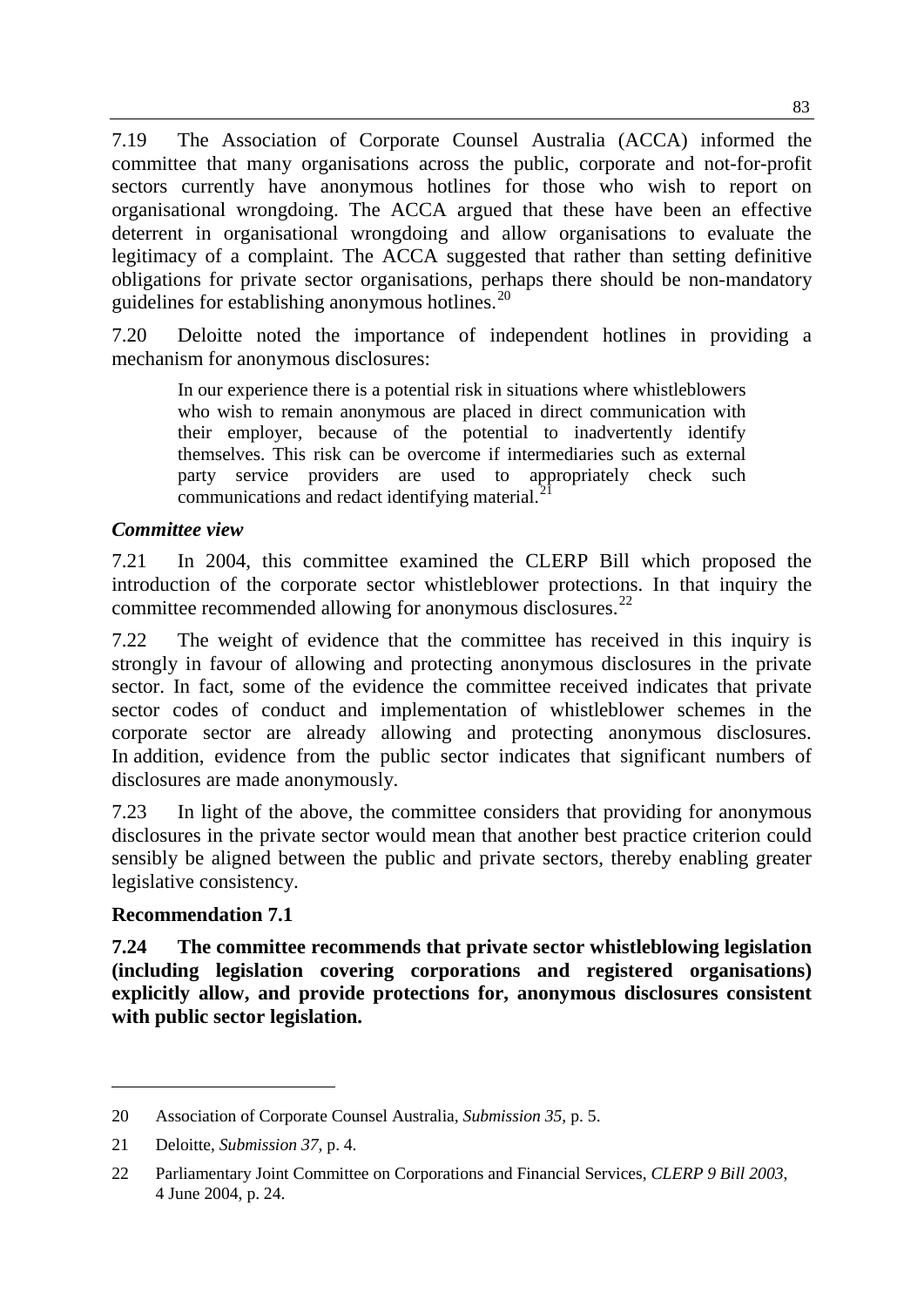7.19 The Association of Corporate Counsel Australia (ACCA) informed the committee that many organisations across the public, corporate and not-for-profit sectors currently have anonymous hotlines for those who wish to report on organisational wrongdoing. The ACCA argued that these have been an effective deterrent in organisational wrongdoing and allow organisations to evaluate the legitimacy of a complaint. The ACCA suggested that rather than setting definitive obligations for private sector organisations, perhaps there should be non-mandatory guidelines for establishing anonymous hotlines.<sup>[20](#page-4-0)</sup>

7.20 Deloitte noted the importance of independent hotlines in providing a mechanism for anonymous disclosures:

In our experience there is a potential risk in situations where whistleblowers who wish to remain anonymous are placed in direct communication with their employer, because of the potential to inadvertently identify themselves. This risk can be overcome if intermediaries such as external party service providers are used to appropriately check such communications and redact identifying material.<sup>2</sup>

#### *Committee view*

7.21 In 2004, this committee examined the CLERP Bill which proposed the introduction of the corporate sector whistleblower protections. In that inquiry the committee recommended allowing for anonymous disclosures.<sup>[22](#page-4-2)</sup>

7.22 The weight of evidence that the committee has received in this inquiry is strongly in favour of allowing and protecting anonymous disclosures in the private sector. In fact, some of the evidence the committee received indicates that private sector codes of conduct and implementation of whistleblower schemes in the corporate sector are already allowing and protecting anonymous disclosures. In addition, evidence from the public sector indicates that significant numbers of disclosures are made anonymously.

7.23 In light of the above, the committee considers that providing for anonymous disclosures in the private sector would mean that another best practice criterion could sensibly be aligned between the public and private sectors, thereby enabling greater legislative consistency.

#### **Recommendation 7.1**

-

**7.24 The committee recommends that private sector whistleblowing legislation (including legislation covering corporations and registered organisations) explicitly allow, and provide protections for, anonymous disclosures consistent with public sector legislation.**

<span id="page-4-0"></span><sup>20</sup> Association of Corporate Counsel Australia, *Submission 35*, p. 5.

<span id="page-4-1"></span><sup>21</sup> Deloitte, *Submission 37*, p. 4.

<span id="page-4-2"></span><sup>22</sup> Parliamentary Joint Committee on Corporations and Financial Services, *CLERP 9 Bill 2003*, 4 June 2004, p. 24.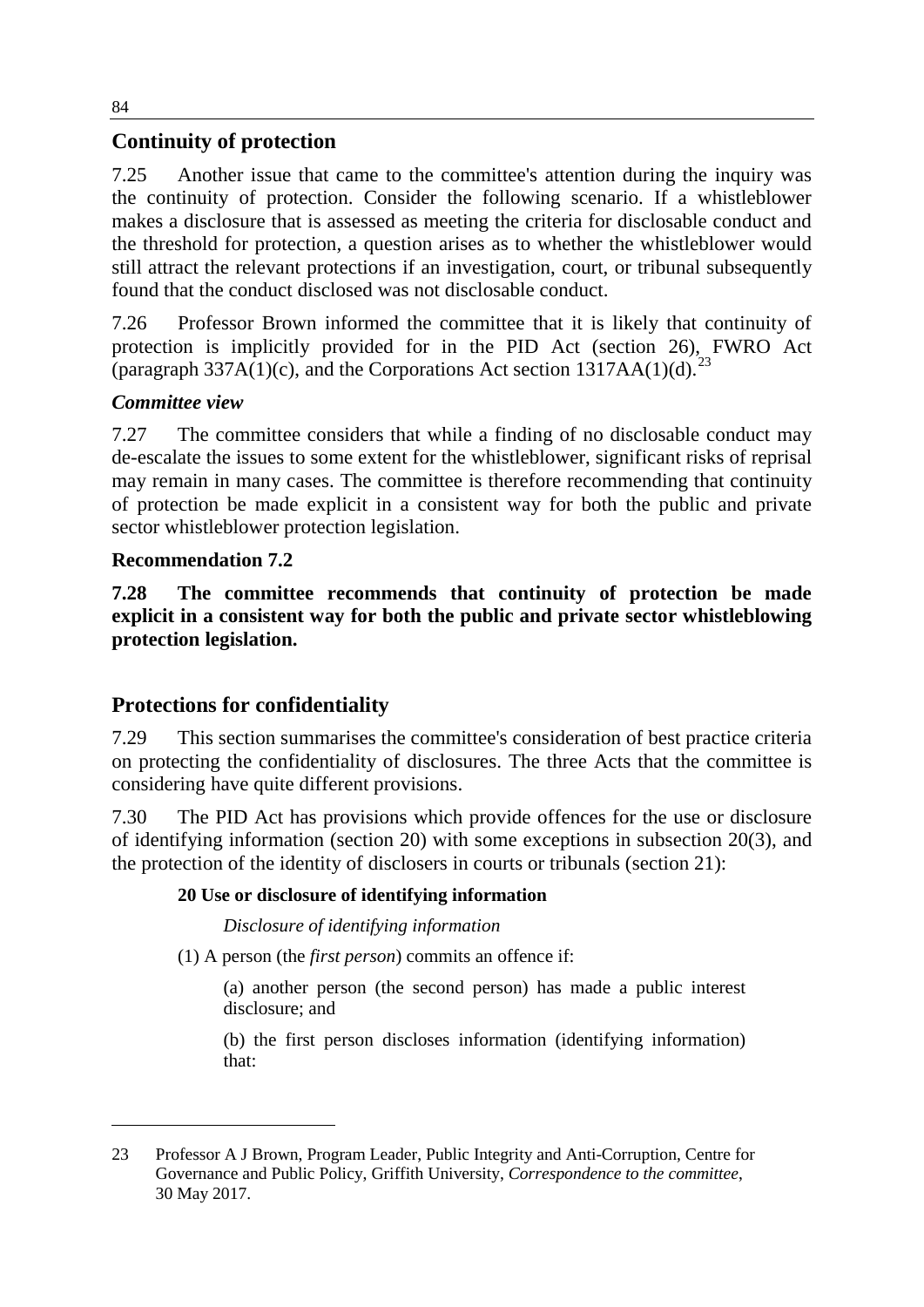## **Continuity of protection**

7.25 Another issue that came to the committee's attention during the inquiry was the continuity of protection. Consider the following scenario. If a whistleblower makes a disclosure that is assessed as meeting the criteria for disclosable conduct and the threshold for protection, a question arises as to whether the whistleblower would still attract the relevant protections if an investigation, court, or tribunal subsequently found that the conduct disclosed was not disclosable conduct.

7.26 Professor Brown informed the committee that it is likely that continuity of protection is implicitly provided for in the PID Act (section 26), FWRO Act (paragraph 337A(1)(c), and the Corporations Act section 1317AA(1)(d).<sup>[23](#page-5-0)</sup>

## *Committee view*

7.27 The committee considers that while a finding of no disclosable conduct may de-escalate the issues to some extent for the whistleblower, significant risks of reprisal may remain in many cases. The committee is therefore recommending that continuity of protection be made explicit in a consistent way for both the public and private sector whistleblower protection legislation.

## **Recommendation 7.2**

-

**7.28 The committee recommends that continuity of protection be made explicit in a consistent way for both the public and private sector whistleblowing protection legislation.**

## **Protections for confidentiality**

7.29 This section summarises the committee's consideration of best practice criteria on protecting the confidentiality of disclosures. The three Acts that the committee is considering have quite different provisions.

7.30 The PID Act has provisions which provide offences for the use or disclosure of identifying information (section 20) with some exceptions in subsection 20(3), and the protection of the identity of disclosers in courts or tribunals (section 21):

## **20 Use or disclosure of identifying information**

*Disclosure of identifying information* 

(1) A person (the *first person*) commits an offence if:

(a) another person (the second person) has made a public interest disclosure; and

(b) the first person discloses information (identifying information) that:

<span id="page-5-0"></span><sup>23</sup> Professor A J Brown, Program Leader, Public Integrity and Anti-Corruption, Centre for Governance and Public Policy, Griffith University, *Correspondence to the committee*, 30 May 2017.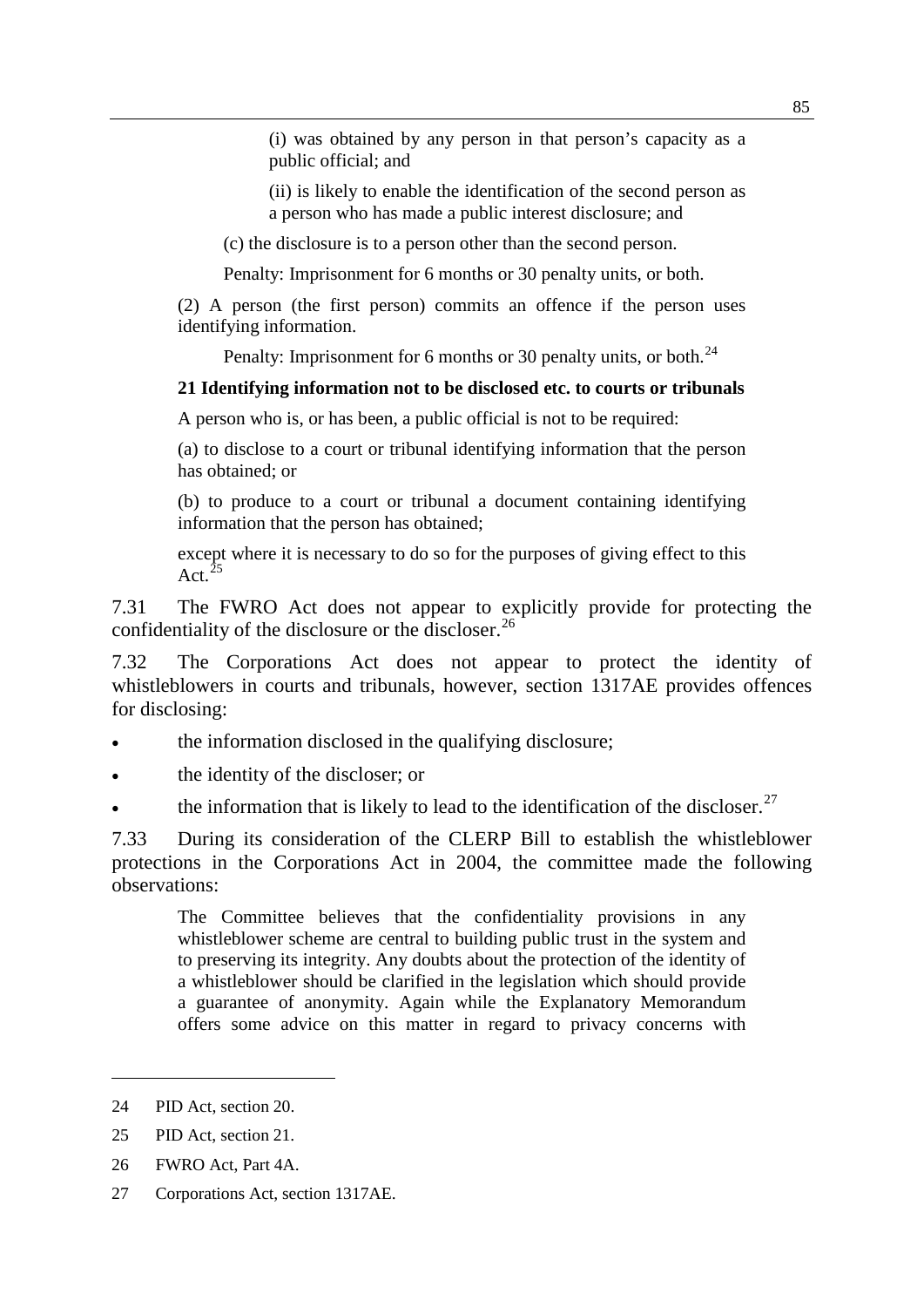(i) was obtained by any person in that person's capacity as a public official; and

(ii) is likely to enable the identification of the second person as a person who has made a public interest disclosure; and

(c) the disclosure is to a person other than the second person.

Penalty: Imprisonment for 6 months or 30 penalty units, or both.

(2) A person (the first person) commits an offence if the person uses identifying information.

Penalty: Imprisonment for 6 months or 30 penalty units, or both.<sup>[24](#page-6-0)</sup>

#### **21 Identifying information not to be disclosed etc. to courts or tribunals**

A person who is, or has been, a public official is not to be required:

(a) to disclose to a court or tribunal identifying information that the person has obtained; or

(b) to produce to a court or tribunal a document containing identifying information that the person has obtained;

except where it is necessary to do so for the purposes of giving effect to this Act. $^{25}$  $^{25}$  $^{25}$ 

7.31 The FWRO Act does not appear to explicitly provide for protecting the confidentiality of the disclosure or the discloser.<sup>[26](#page-6-2)</sup>

7.32 The Corporations Act does not appear to protect the identity of whistleblowers in courts and tribunals, however, section 1317AE provides offences for disclosing:

- the information disclosed in the qualifying disclosure;
- the identity of the discloser; or
- the information that is likely to lead to the identification of the discloser.<sup>[27](#page-6-3)</sup>

7.33 During its consideration of the CLERP Bill to establish the whistleblower protections in the Corporations Act in 2004, the committee made the following observations:

The Committee believes that the confidentiality provisions in any whistleblower scheme are central to building public trust in the system and to preserving its integrity. Any doubts about the protection of the identity of a whistleblower should be clarified in the legislation which should provide a guarantee of anonymity. Again while the Explanatory Memorandum offers some advice on this matter in regard to privacy concerns with

<span id="page-6-0"></span><sup>24</sup> PID Act, section 20.

<span id="page-6-1"></span><sup>25</sup> PID Act, section 21.

<span id="page-6-2"></span><sup>26</sup> FWRO Act, Part 4A.

<span id="page-6-3"></span><sup>27</sup> Corporations Act, section 1317AE.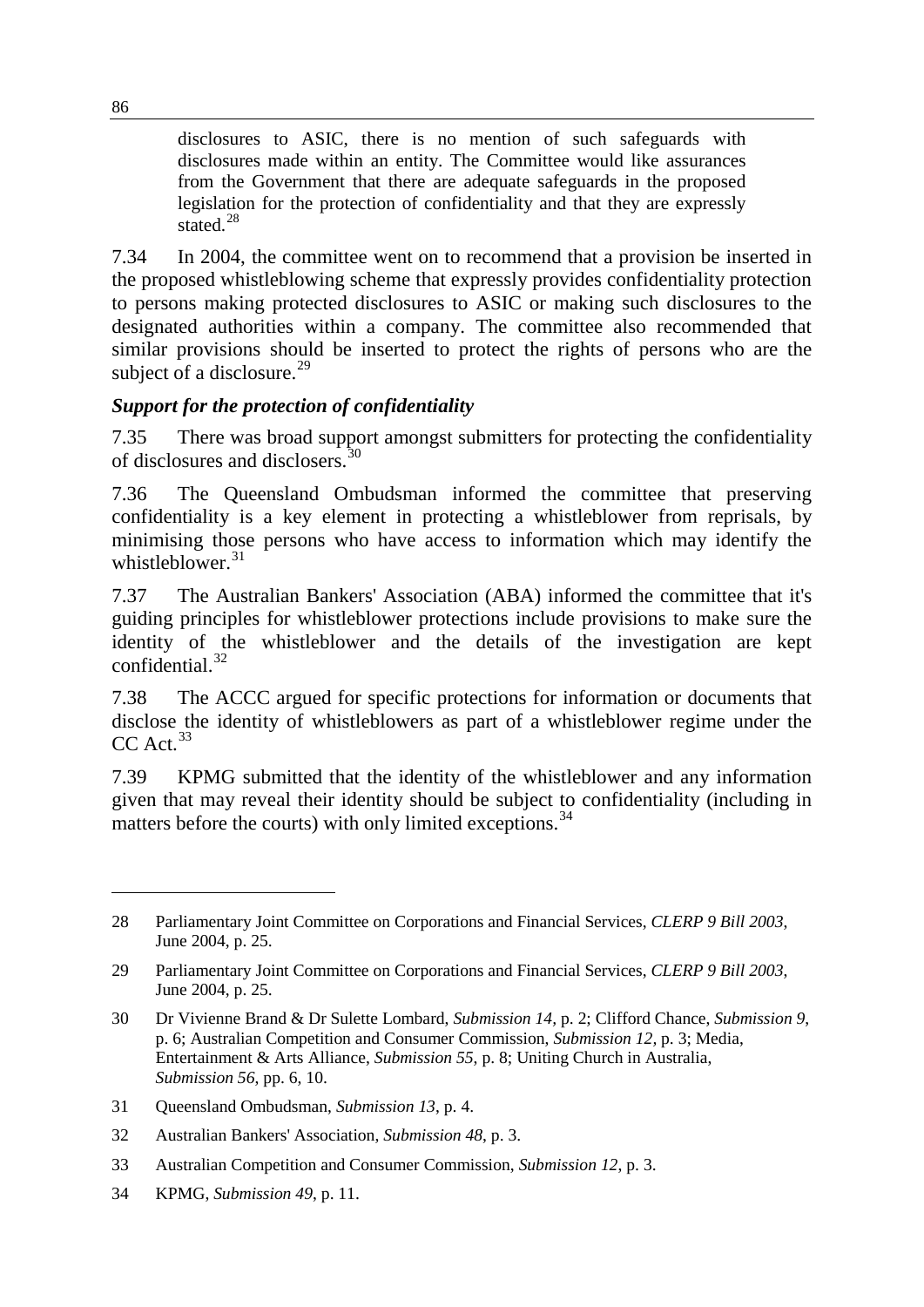disclosures to ASIC, there is no mention of such safeguards with disclosures made within an entity. The Committee would like assurances from the Government that there are adequate safeguards in the proposed legislation for the protection of confidentiality and that they are expressly stated.<sup>[28](#page-7-0)</sup>

7.34 In 2004, the committee went on to recommend that a provision be inserted in the proposed whistleblowing scheme that expressly provides confidentiality protection to persons making protected disclosures to ASIC or making such disclosures to the designated authorities within a company. The committee also recommended that similar provisions should be inserted to protect the rights of persons who are the subject of a disclosure.<sup>[29](#page-7-1)</sup>

## *Support for the protection of confidentiality*

7.35 There was broad support amongst submitters for protecting the confidentiality of disclosures and disclosers.[30](#page-7-2)

7.36 The Queensland Ombudsman informed the committee that preserving confidentiality is a key element in protecting a whistleblower from reprisals, by minimising those persons who have access to information which may identify the whistleblower. $31$ 

7.37 The Australian Bankers' Association (ABA) informed the committee that it's guiding principles for whistleblower protections include provisions to make sure the identity of the whistleblower and the details of the investigation are kept confidential.[32](#page-7-4)

7.38 The ACCC argued for specific protections for information or documents that disclose the identity of whistleblowers as part of a whistleblower regime under the  $CC$  Act.<sup>[33](#page-7-5)</sup>

7.39 KPMG submitted that the identity of the whistleblower and any information given that may reveal their identity should be subject to confidentiality (including in matters before the courts) with only limited exceptions.<sup>[34](#page-7-6)</sup>

<span id="page-7-6"></span>34 KPMG, *Submission 49*, p. 11.

<span id="page-7-0"></span><sup>28</sup> Parliamentary Joint Committee on Corporations and Financial Services, *CLERP 9 Bill 2003*, June 2004, p. 25.

<span id="page-7-1"></span><sup>29</sup> Parliamentary Joint Committee on Corporations and Financial Services, *CLERP 9 Bill 2003*, June 2004, p. 25.

<span id="page-7-2"></span><sup>30</sup> Dr Vivienne Brand & Dr Sulette Lombard, *Submission 14,* p. 2; Clifford Chance, *Submission 9*, p. 6; Australian Competition and Consumer Commission, *Submission 12,* p. 3; Media, Entertainment & Arts Alliance, *Submission 55*, p. 8; Uniting Church in Australia, *Submission 56*, pp. 6, 10.

<span id="page-7-3"></span><sup>31</sup> Queensland Ombudsman, *Submission 13*, p. 4.

<span id="page-7-4"></span><sup>32</sup> Australian Bankers' Association, *Submission 48*, p. 3.

<span id="page-7-5"></span><sup>33</sup> Australian Competition and Consumer Commission, *Submission 12*, p. 3.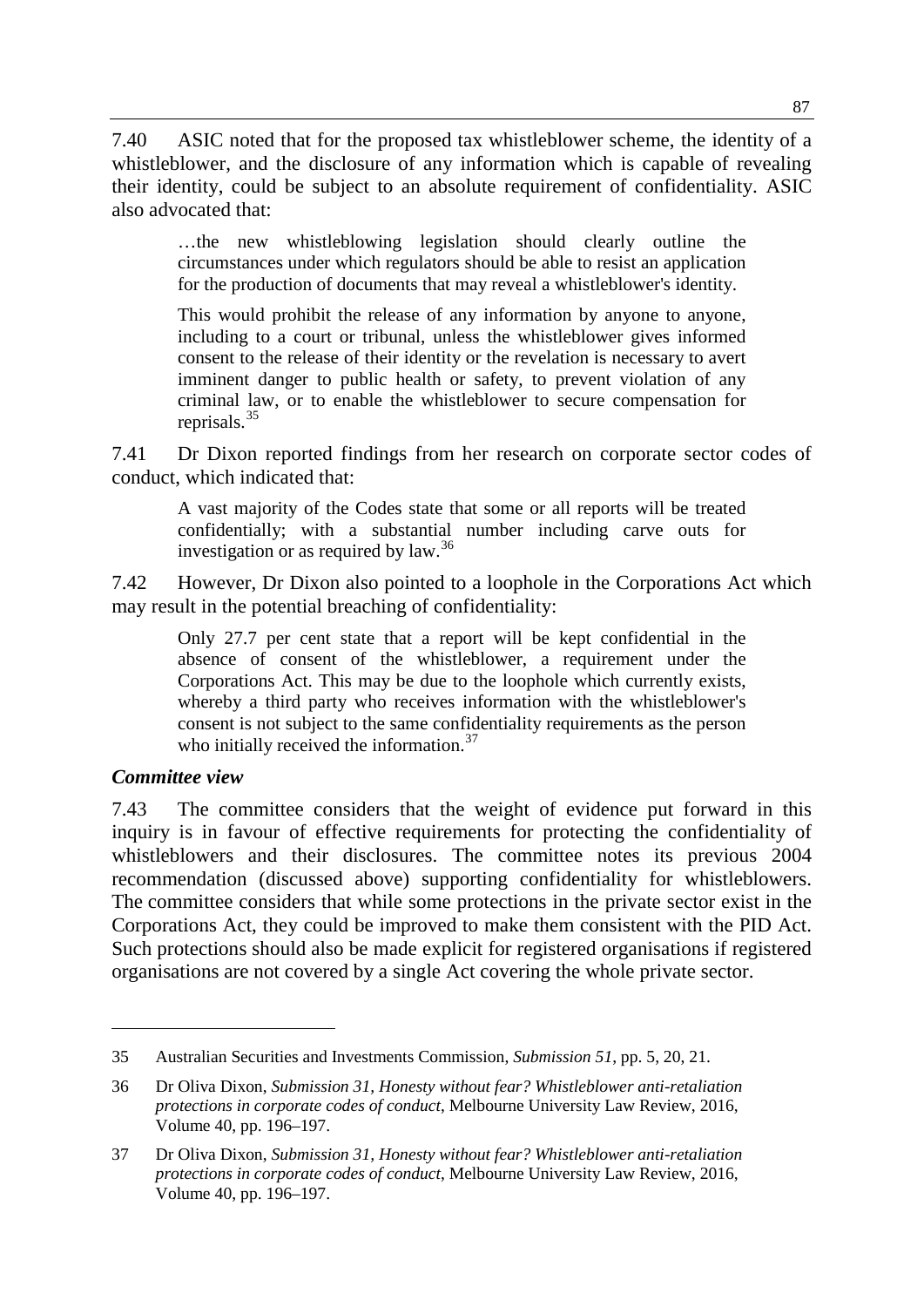7.40 ASIC noted that for the proposed tax whistleblower scheme, the identity of a whistleblower, and the disclosure of any information which is capable of revealing their identity, could be subject to an absolute requirement of confidentiality. ASIC also advocated that:

…the new whistleblowing legislation should clearly outline the circumstances under which regulators should be able to resist an application for the production of documents that may reveal a whistleblower's identity.

This would prohibit the release of any information by anyone to anyone, including to a court or tribunal, unless the whistleblower gives informed consent to the release of their identity or the revelation is necessary to avert imminent danger to public health or safety, to prevent violation of any criminal law, or to enable the whistleblower to secure compensation for reprisals.[35](#page-8-0)

7.41 Dr Dixon reported findings from her research on corporate sector codes of conduct, which indicated that:

A vast majority of the Codes state that some or all reports will be treated confidentially; with a substantial number including carve outs for investigation or as required by law.<sup>[36](#page-8-1)</sup>

7.42 However, Dr Dixon also pointed to a loophole in the Corporations Act which may result in the potential breaching of confidentiality:

Only 27.7 per cent state that a report will be kept confidential in the absence of consent of the whistleblower, a requirement under the Corporations Act. This may be due to the loophole which currently exists, whereby a third party who receives information with the whistleblower's consent is not subject to the same confidentiality requirements as the person who initially received the information.<sup>[37](#page-8-2)</sup>

#### *Committee view*

-

7.43 The committee considers that the weight of evidence put forward in this inquiry is in favour of effective requirements for protecting the confidentiality of whistleblowers and their disclosures. The committee notes its previous 2004 recommendation (discussed above) supporting confidentiality for whistleblowers. The committee considers that while some protections in the private sector exist in the Corporations Act, they could be improved to make them consistent with the PID Act. Such protections should also be made explicit for registered organisations if registered organisations are not covered by a single Act covering the whole private sector.

<span id="page-8-0"></span><sup>35</sup> Australian Securities and Investments Commission, *Submission 51*, pp. 5, 20, 21.

<span id="page-8-1"></span><sup>36</sup> Dr Oliva Dixon, *Submission 31, Honesty without fear? Whistleblower anti-retaliation protections in corporate codes of conduct*, Melbourne University Law Review, 2016, Volume 40, pp. 196–197.

<span id="page-8-2"></span><sup>37</sup> Dr Oliva Dixon, *Submission 31, Honesty without fear? Whistleblower anti-retaliation protections in corporate codes of conduct*, Melbourne University Law Review, 2016, Volume 40, pp. 196–197.